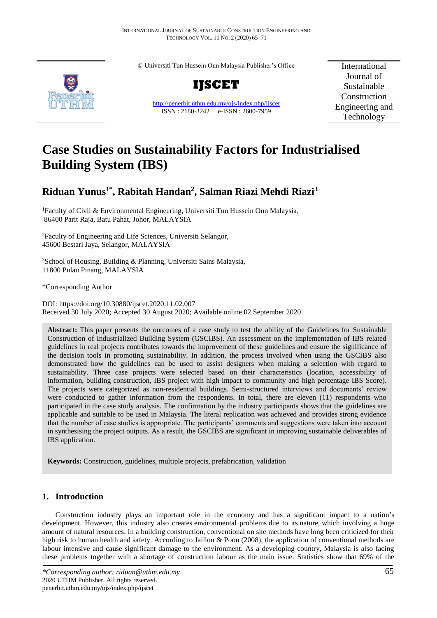© Universiti Tun Hussein Onn Malaysia Publisher's Office



**IJSCET**

<http://penerbit.uthm.edu.my/ojs/index.php/ijscet> ISSN : 2180-3242 e-ISSN : 2600-7959

International Journal of Sustainable Construction Engineering and Technology

# **Case Studies on Sustainability Factors for Industrialised Building System (IBS)**

## **Riduan Yunus1\* , Rabitah Handan<sup>2</sup> , Salman Riazi Mehdi Riazi<sup>3</sup>**

<sup>1</sup>Faculty of Civil & Environmental Engineering, Universiti Tun Hussein Onn Malaysia, 86400 Parit Raja, Batu Pahat, Johor, MALAYSIA

<sup>2</sup>Faculty of Engineering and Life Sciences, Universiti Selangor, 45600 Bestari Jaya, Selangor, MALAYSIA

<sup>3</sup>School of Housing, Building & Planning, Universiti Sains Malaysia, 11800 Pulau Pinang, MALAYSIA

\*Corresponding Author

DOI: https://doi.org/10.30880/ijscet.2020.11.02.007 Received 30 July 2020; Accepted 30 August 2020; Available online 02 September 2020

**Abstract:** This paper presents the outcomes of a case study to test the ability of the Guidelines for Sustainable Construction of Industrialized Building System (GSCIBS). An assessment on the implementation of IBS related guidelines in real projects contributes towards the improvement of these guidelines and ensure the significance of the decision tools in promoting sustainability. In addition, the process involved when using the GSCIBS also demonstrated how the guidelines can be used to assist designers when making a selection with regard to sustainability. Three case projects were selected based on their characteristics (location, accessibility of information, building construction, IBS project with high impact to community and high percentage IBS Score). The projects were categorized as non-residential buildings. Semi-structured interviews and documents' review were conducted to gather information from the respondents. In total, there are eleven (11) respondents who participated in the case study analysis. The confirmation by the industry participants shows that the guidelines are applicable and suitable to be used in Malaysia. The literal replication was achieved and provides strong evidence that the number of case studies is appropriate. The participants' comments and suggestions were taken into account in synthesising the project outputs. As a result, the GSCIBS are significant in improving sustainable deliverables of IBS application.

**Keywords:** Construction, guidelines, multiple projects, prefabrication, validation

## **1. Introduction**

Construction industry plays an important role in the economy and has a significant impact to a nation's development. However, this industry also creates environmental problems due to its nature, which involving a huge amount of natural resources. In a building construction, conventional on site methods have long been criticized for their high risk to human health and safety. According to Jaillon & Poon (2008), the application of conventional methods are labour intensive and cause significant damage to the environment. As a developing country, Malaysia is also facing these problems together with a shortage of construction labour as the main issue. Statistics show that 69% of the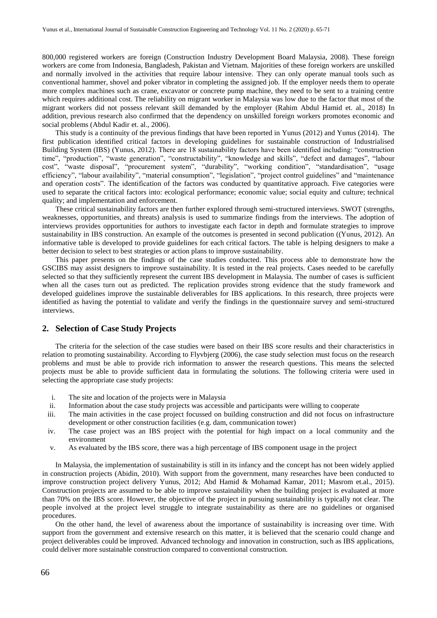800,000 registered workers are foreign (Construction Industry Development Board Malaysia, 2008). These foreign workers are come from Indonesia, Bangladesh, Pakistan and Vietnam. Majorities of these foreign workers are unskilled and normally involved in the activities that require labour intensive. They can only operate manual tools such as conventional hammer, shovel and poker vibrator in completing the assigned job. If the employer needs them to operate more complex machines such as crane, excavator or concrete pump machine, they need to be sent to a training centre which requires additional cost. The reliability on migrant worker in Malaysia was low due to the factor that most of the migrant workers did not possess relevant skill demanded by the employer (Rahim Abdul Hamid et. al., 2018) In addition, previous research also confirmed that the dependency on unskilled foreign workers promotes economic and social problems (Abdul Kadir et. al., 2006).

This study is a continuity of the previous findings that have been reported in Yunus (2012) and Yunus (2014). The first publication identified critical factors in developing guidelines for sustainable construction of Industrialised Building System (IBS) (Yunus, 2012). There are 18 sustainability factors have been identified including: "construction time", "production", "waste generation", "constructability", "knowledge and skills", "defect and damages", "labour cost", "waste disposal", "procurement system", "durability", "working condition", "standardisation", "usage efficiency", "labour availability", "material consumption", "legislation", "project control guidelines" and "maintenance and operation costs". The identification of the factors was conducted by quantitative approach. Five categories were used to separate the critical factors into: ecological performance; economic value; social equity and culture; technical quality; and implementation and enforcement.

These critical sustainability factors are then further explored through semi-structured interviews. SWOT (strengths, weaknesses, opportunities, and threats) analysis is used to summarize findings from the interviews. The adoption of interviews provides opportunities for authors to investigate each factor in depth and formulate strategies to improve sustainability in IBS construction. An example of the outcomes is presented in second publication ((Yunus, 2012). An informative table is developed to provide guidelines for each critical factors. The table is helping designers to make a better decision to select to best strategies or action plans to improve sustainability.

This paper presents on the findings of the case studies conducted. This process able to demonstrate how the GSCIBS may assist designers to improve sustainability. It is tested in the real projects. Cases needed to be carefully selected so that they sufficiently represent the current IBS development in Malaysia. The number of cases is sufficient when all the cases turn out as predicted. The replication provides strong evidence that the study framework and developed guidelines improve the sustainable deliverables for IBS applications. In this research, three projects were identified as having the potential to validate and verify the findings in the questionnaire survey and semi-structured interviews.

#### **2. Selection of Case Study Projects**

The criteria for the selection of the case studies were based on their IBS score results and their characteristics in relation to promoting sustainability. According to Flyvbjerg (2006), the case study selection must focus on the research problems and must be able to provide rich information to answer the research questions. This means the selected projects must be able to provide sufficient data in formulating the solutions. The following criteria were used in selecting the appropriate case study projects:

- i. The site and location of the projects were in Malaysia
- ii. Information about the case study projects was accessible and participants were willing to cooperate
- iii. The main activities in the case project focussed on building construction and did not focus on infrastructure development or other construction facilities (e.g. dam, communication tower)
- iv. The case project was an IBS project with the potential for high impact on a local community and the environment
- v. As evaluated by the IBS score, there was a high percentage of IBS component usage in the project

In Malaysia, the implementation of sustainability is still in its infancy and the concept has not been widely applied in construction projects (Abidin, 2010). With support from the government, many researches have been conducted to improve construction project delivery Yunus, 2012; Abd Hamid & Mohamad Kamar, 2011; Masrom et.al., 2015). Construction projects are assumed to be able to improve sustainability when the building project is evaluated at more than 70% on the IBS score. However, the objective of the project in pursuing sustainability is typically not clear. The people involved at the project level struggle to integrate sustainability as there are no guidelines or organised procedures.

On the other hand, the level of awareness about the importance of sustainability is increasing over time. With support from the government and extensive research on this matter, it is believed that the scenario could change and project deliverables could be improved. Advanced technology and innovation in construction, such as IBS applications, could deliver more sustainable construction compared to conventional construction.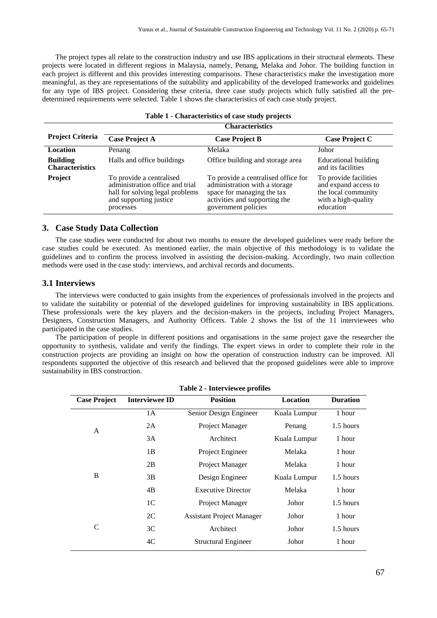The project types all relate to the construction industry and use IBS applications in their structural elements. These projects were located in different regions in Malaysia, namely, Penang, Melaka and Johor. The building function in each project is different and this provides interesting comparisons. These characteristics make the investigation more meaningful, as they are representations of the suitability and applicability of the developed frameworks and guidelines for any type of IBS project. Considering these criteria, three case study projects which fully satisfied all the predetermined requirements were selected. Table 1 shows the characteristics of each case study project.

| Table 1 - Characteristics of case study projects |  |  |  |
|--------------------------------------------------|--|--|--|
| Characteristics                                  |  |  |  |

|                                           | <b>Unaracteristics</b>                                                                                                                |                                                                                                                                                            |                                                                                                          |  |
|-------------------------------------------|---------------------------------------------------------------------------------------------------------------------------------------|------------------------------------------------------------------------------------------------------------------------------------------------------------|----------------------------------------------------------------------------------------------------------|--|
| <b>Project Criteria</b>                   | <b>Case Project A</b>                                                                                                                 | <b>Case Project B</b>                                                                                                                                      | <b>Case Project C</b>                                                                                    |  |
| Location                                  | Penang                                                                                                                                | Melaka                                                                                                                                                     | Johor                                                                                                    |  |
| <b>Building</b><br><b>Characteristics</b> | Halls and office buildings                                                                                                            | Office building and storage area                                                                                                                           | Educational building<br>and its facilities                                                               |  |
| Project                                   | To provide a centralised<br>administration office and trial<br>hall for solving legal problems<br>and supporting justice<br>processes | To provide a centralised office for<br>administration with a storage<br>space for managing the tax<br>activities and supporting the<br>government policies | To provide facilities<br>and expand access to<br>the local community<br>with a high-quality<br>education |  |

#### **3. Case Study Data Collection**

The case studies were conducted for about two months to ensure the developed guidelines were ready before the case studies could be executed. As mentioned earlier, the main objective of this methodology is to validate the guidelines and to confirm the process involved in assisting the decision-making. Accordingly, two main collection methods were used in the case study: interviews, and archival records and documents.

#### **3.1 Interviews**

The interviews were conducted to gain insights from the experiences of professionals involved in the projects and to validate the suitability or potential of the developed guidelines for improving sustainability in IBS applications. These professionals were the key players and the decision-makers in the projects, including Project Managers, Designers, Construction Managers, and Authority Officers. Table 2 shows the list of the 11 interviewees who participated in the case studies.

The participation of people in different positions and organisations in the same project gave the researcher the opportunity to synthesis, validate and verify the findings. The expert views in order to complete their role in the construction projects are providing an insight on how the operation of construction industry can be improved. All respondents supported the objective of this research and believed that the proposed guidelines were able to improve sustainability in IBS construction.

| <b>Case Project</b> | <b>Interviewee ID</b> | <b>Position</b>                  | Location     | <b>Duration</b> |  |  |
|---------------------|-----------------------|----------------------------------|--------------|-----------------|--|--|
| A                   | 1A                    | Senior Design Engineer           | Kuala Lumpur | 1 hour          |  |  |
|                     | 2A                    | Project Manager                  | Penang       | 1.5 hours       |  |  |
|                     | 3A                    | Architect                        | Kuala Lumpur | 1 hour          |  |  |
| B                   | 1B                    | Project Engineer                 | Melaka       | 1 hour          |  |  |
|                     | 2B                    | Project Manager                  | Melaka       | 1 hour          |  |  |
|                     | 3B                    | Design Engineer                  | Kuala Lumpur | 1.5 hours       |  |  |
|                     | 4B                    | <b>Executive Director</b>        | Melaka       | 1 hour          |  |  |
| C                   | 1 <sup>C</sup>        | Project Manager                  | Johor        | 1.5 hours       |  |  |
|                     | 2C                    | <b>Assistant Project Manager</b> | Johor        | 1 hour          |  |  |
|                     | 3C                    | Architect                        | Johor        | 1.5 hours       |  |  |
|                     | 4C                    | <b>Structural Engineer</b>       | Johor        | 1 hour          |  |  |

#### **Table 2 - Interviewee profiles**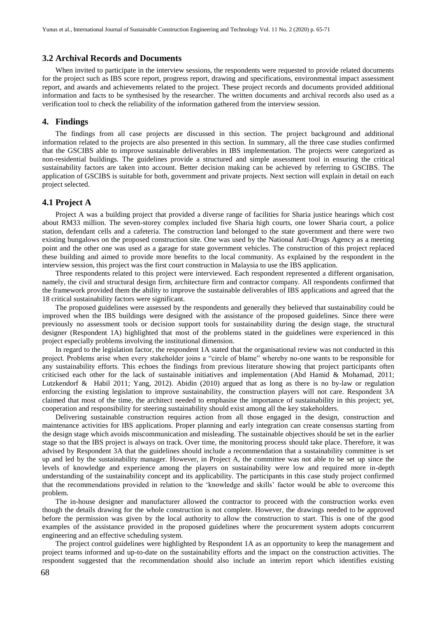#### **3.2 Archival Records and Documents**

When invited to participate in the interview sessions, the respondents were requested to provide related documents for the project such as IBS score report, progress report, drawing and specifications, environmental impact assessment report, and awards and achievements related to the project. These project records and documents provided additional information and facts to be synthesised by the researcher. The written documents and archival records also used as a verification tool to check the reliability of the information gathered from the interview session.

#### **4. Findings**

The findings from all case projects are discussed in this section. The project background and additional information related to the projects are also presented in this section. In summary, all the three case studies confirmed that the GSCIBS able to improve sustainable deliverables in IBS implementation. The projects were categorized as non-residential buildings. The guidelines provide a structured and simple assessment tool in ensuring the critical sustainability factors are taken into account. Better decision making can be achieved by referring to GSCIBS. The application of GSCIBS is suitable for both, government and private projects. Next section will explain in detail on each project selected.

#### **4.1 Project A**

Project A was a building project that provided a diverse range of facilities for Sharia justice hearings which cost about RM33 million. The seven-storey complex included five Sharia high courts, one lower Sharia court, a police station, defendant cells and a cafeteria. The construction land belonged to the state government and there were two existing bungalows on the proposed construction site. One was used by the National Anti-Drugs Agency as a meeting point and the other one was used as a garage for state government vehicles. The construction of this project replaced these building and aimed to provide more benefits to the local community. As explained by the respondent in the interview session, this project was the first court construction in Malaysia to use the IBS application.

Three respondents related to this project were interviewed. Each respondent represented a different organisation, namely, the civil and structural design firm, architecture firm and contractor company. All respondents confirmed that the framework provided them the ability to improve the sustainable deliverables of IBS applications and agreed that the 18 critical sustainability factors were significant.

The proposed guidelines were assessed by the respondents and generally they believed that sustainability could be improved when the IBS buildings were designed with the assistance of the proposed guidelines. Since there were previously no assessment tools or decision support tools for sustainability during the design stage, the structural designer (Respondent 1A) highlighted that most of the problems stated in the guidelines were experienced in this project especially problems involving the institutional dimension.

In regard to the legislation factor, the respondent 1A stated that the organisational review was not conducted in this project. Problems arise when every stakeholder joins a "circle of blame" whereby no-one wants to be responsible for any sustainability efforts. This echoes the findings from previous literature showing that project participants often criticised each other for the lack of sustainable initiatives and implementation (Abd Hamid & Mohamad, 2011; Lutzkendorf & Habil 2011; Yang, 2012). Abidin (2010) argued that as long as there is no by-law or regulation enforcing the existing legislation to improve sustainability, the construction players will not care. Respondent 3A claimed that most of the time, the architect needed to emphasise the importance of sustainability in this project; yet, cooperation and responsibility for steering sustainability should exist among all the key stakeholders.

Delivering sustainable construction requires action from all those engaged in the design, construction and maintenance activities for IBS applications. Proper planning and early integration can create consensus starting from the design stage which avoids miscommunication and misleading. The sustainable objectives should be set in the earlier stage so that the IBS project is always on track. Over time, the monitoring process should take place. Therefore, it was advised by Respondent 3A that the guidelines should include a recommendation that a sustainability committee is set up and led by the sustainability manager. However, in Project A, the committee was not able to be set up since the levels of knowledge and experience among the players on sustainability were low and required more in-depth understanding of the sustainability concept and its applicability. The participants in this case study project confirmed that the recommendations provided in relation to the 'knowledge and skills' factor would be able to overcome this problem.

The in-house designer and manufacturer allowed the contractor to proceed with the construction works even though the details drawing for the whole construction is not complete. However, the drawings needed to be approved before the permission was given by the local authority to allow the construction to start. This is one of the good examples of the assistance provided in the proposed guidelines where the procurement system adopts concurrent engineering and an effective scheduling system.

The project control guidelines were highlighted by Respondent 1A as an opportunity to keep the management and project teams informed and up-to-date on the sustainability efforts and the impact on the construction activities. The respondent suggested that the recommendation should also include an interim report which identifies existing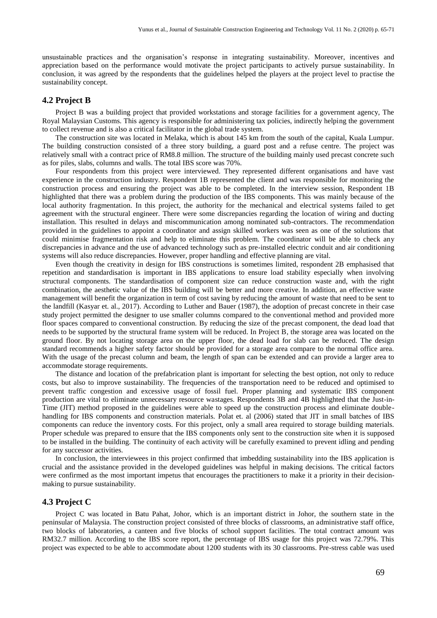unsustainable practices and the organisation's response in integrating sustainability. Moreover, incentives and appreciation based on the performance would motivate the project participants to actively pursue sustainability. In conclusion, it was agreed by the respondents that the guidelines helped the players at the project level to practise the sustainability concept.

#### **4.2 Project B**

Project B was a building project that provided workstations and storage facilities for a government agency, The Royal Malaysian Customs. This agency is responsible for administering tax policies, indirectly helping the government to collect revenue and is also a critical facilitator in the global trade system.

The construction site was located in Melaka, which is about 145 km from the south of the capital, Kuala Lumpur. The building construction consisted of a three story building, a guard post and a refuse centre. The project was relatively small with a contract price of RM8.8 million. The structure of the building mainly used precast concrete such as for piles, slabs, columns and walls. The total IBS score was 70%.

Four respondents from this project were interviewed. They represented different organisations and have vast experience in the construction industry. Respondent 1B represented the client and was responsible for monitoring the construction process and ensuring the project was able to be completed. In the interview session, Respondent 1B highlighted that there was a problem during the production of the IBS components. This was mainly because of the local authority fragmentation. In this project, the authority for the mechanical and electrical systems failed to get agreement with the structural engineer. There were some discrepancies regarding the location of wiring and ducting installation. This resulted in delays and miscommunication among nominated sub-contractors. The recommendation provided in the guidelines to appoint a coordinator and assign skilled workers was seen as one of the solutions that could minimise fragmentation risk and help to eliminate this problem. The coordinator will be able to check any discrepancies in advance and the use of advanced technology such as pre-installed electric conduit and air conditioning systems will also reduce discrepancies. However, proper handling and effective planning are vital.

Even though the creativity in design for IBS constructions is sometimes limited, respondent 2B emphasised that repetition and standardisation is important in IBS applications to ensure load stability especially when involving structural components. The standardisation of component size can reduce construction waste and, with the right combination, the aesthetic value of the IBS building will be better and more creative. In addition, an effective waste management will benefit the organization in term of cost saving by reducing the amount of waste that need to be sent to the landfill (Kasyar et. al., 2017). According to Luther and Bauer (1987), the adoption of precast concrete in their case study project permitted the designer to use smaller columns compared to the conventional method and provided more floor spaces compared to conventional construction. By reducing the size of the precast component, the dead load that needs to be supported by the structural frame system will be reduced. In Project B, the storage area was located on the ground floor. By not locating storage area on the upper floor, the dead load for slab can be reduced. The design standard recommends a higher safety factor should be provided for a storage area compare to the normal office area. With the usage of the precast column and beam, the length of span can be extended and can provide a larger area to accommodate storage requirements.

The distance and location of the prefabrication plant is important for selecting the best option, not only to reduce costs, but also to improve sustainability. The frequencies of the transportation need to be reduced and optimised to prevent traffic congestion and excessive usage of fossil fuel. Proper planning and systematic IBS component production are vital to eliminate unnecessary resource wastages. Respondents 3B and 4B highlighted that the Just-in-Time (JIT) method proposed in the guidelines were able to speed up the construction process and eliminate doublehandling for IBS components and construction materials. Polat et. al (2006) stated that JIT in small batches of IBS components can reduce the inventory costs. For this project, only a small area required to storage building materials. Proper schedule was prepared to ensure that the IBS components only sent to the construction site when it is supposed to be installed in the building. The continuity of each activity will be carefully examined to prevent idling and pending for any successor activities.

In conclusion, the interviewees in this project confirmed that imbedding sustainability into the IBS application is crucial and the assistance provided in the developed guidelines was helpful in making decisions. The critical factors were confirmed as the most important impetus that encourages the practitioners to make it a priority in their decisionmaking to pursue sustainability.

#### **4.3 Project C**

Project C was located in Batu Pahat, Johor, which is an important district in Johor, the southern state in the peninsular of Malaysia. The construction project consisted of three blocks of classrooms, an administrative staff office, two blocks of laboratories, a canteen and five blocks of school support facilities. The total contract amount was RM32.7 million. According to the IBS score report, the percentage of IBS usage for this project was 72.79%. This project was expected to be able to accommodate about 1200 students with its 30 classrooms. Pre-stress cable was used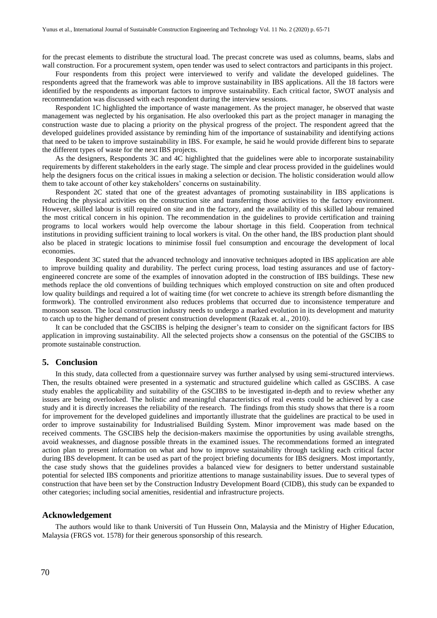for the precast elements to distribute the structural load. The precast concrete was used as columns, beams, slabs and wall construction. For a procurement system, open tender was used to select contractors and participants in this project.

Four respondents from this project were interviewed to verify and validate the developed guidelines. The respondents agreed that the framework was able to improve sustainability in IBS applications. All the 18 factors were identified by the respondents as important factors to improve sustainability. Each critical factor, SWOT analysis and recommendation was discussed with each respondent during the interview sessions.

Respondent 1C highlighted the importance of waste management. As the project manager, he observed that waste management was neglected by his organisation. He also overlooked this part as the project manager in managing the construction waste due to placing a priority on the physical progress of the project. The respondent agreed that the developed guidelines provided assistance by reminding him of the importance of sustainability and identifying actions that need to be taken to improve sustainability in IBS. For example, he said he would provide different bins to separate the different types of waste for the next IBS projects.

As the designers, Respondents 3C and 4C highlighted that the guidelines were able to incorporate sustainability requirements by different stakeholders in the early stage. The simple and clear process provided in the guidelines would help the designers focus on the critical issues in making a selection or decision. The holistic consideration would allow them to take account of other key stakeholders' concerns on sustainability.

Respondent 2C stated that one of the greatest advantages of promoting sustainability in IBS applications is reducing the physical activities on the construction site and transferring those activities to the factory environment. However, skilled labour is still required on site and in the factory, and the availability of this skilled labour remained the most critical concern in his opinion. The recommendation in the guidelines to provide certification and training programs to local workers would help overcome the labour shortage in this field. Cooperation from technical institutions in providing sufficient training to local workers is vital. On the other hand, the IBS production plant should also be placed in strategic locations to minimise fossil fuel consumption and encourage the development of local economies.

Respondent 3C stated that the advanced technology and innovative techniques adopted in IBS application are able to improve building quality and durability. The perfect curing process, load testing assurances and use of factoryengineered concrete are some of the examples of innovation adopted in the construction of IBS buildings. These new methods replace the old conventions of building techniques which employed construction on site and often produced low quality buildings and required a lot of waiting time (for wet concrete to achieve its strength before dismantling the formwork). The controlled environment also reduces problems that occurred due to inconsistence temperature and monsoon season. The local construction industry needs to undergo a marked evolution in its development and maturity to catch up to the higher demand of present construction development (Razak et. al., 2010).

It can be concluded that the GSCIBS is helping the designer's team to consider on the significant factors for IBS application in improving sustainability. All the selected projects show a consensus on the potential of the GSCIBS to promote sustainable construction.

#### **5. Conclusion**

In this study, data collected from a questionnaire survey was further analysed by using semi-structured interviews. Then, the results obtained were presented in a systematic and structured guideline which called as GSCIBS. A case study enables the applicability and suitability of the GSCIBS to be investigated in-depth and to review whether any issues are being overlooked. The holistic and meaningful characteristics of real events could be achieved by a case study and it is directly increases the reliability of the research. The findings from this study shows that there is a room for improvement for the developed guidelines and importantly illustrate that the guidelines are practical to be used in order to improve sustainability for Industrialised Building System. Minor improvement was made based on the received comments. The GSCIBS help the decision-makers maximise the opportunities by using available strengths, avoid weaknesses, and diagnose possible threats in the examined issues. The recommendations formed an integrated action plan to present information on what and how to improve sustainability through tackling each critical factor during IBS development. It can be used as part of the project briefing documents for IBS designers. Most importantly, the case study shows that the guidelines provides a balanced view for designers to better understand sustainable potential for selected IBS components and prioritize attentions to manage sustainability issues. Due to several types of construction that have been set by the Construction Industry Development Board (CIDB), this study can be expanded to other categories; including social amenities, residential and infrastructure projects.

#### **Acknowledgement**

The authors would like to thank Universiti of Tun Hussein Onn, Malaysia and the Ministry of Higher Education, Malaysia (FRGS vot. 1578) for their generous sponsorship of this research.